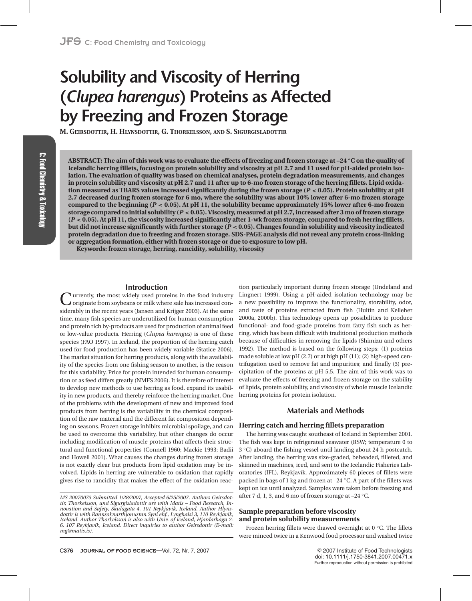# **Solubility and Viscosity of Herring (***Clupea harengus***) Proteins as Affected by Freezing and Frozen Storage**

**M. GEIRSDOTTIR, H. HLYNSDOTTIR, G. THORKELSSON, AND S. SIGURGISLADOTTIR**

**ABSTRACT: The aim of this work was to evaluate the effects of freezing and frozen storage at –24 ◦C on the quality of Icelandic herring fillets, focusing on protein solubility and viscosity at pH 2.7 and 11 used for pH-aided protein isolation. The evaluation of quality was based on chemical analyses, protein degradation measurements, and changes in protein solubility and viscosity at pH 2.7 and 11 after up to 6-mo frozen storage of the herring fillets. Lipid oxidation measured as TBARS values increased significantly during the frozen storage (***P <* **0.05). Protein solubility at pH 2.7 decreased during frozen storage for 6 mo, where the solubility was about 10% lower after 6-mo frozen storage compared to the beginning (***P <* **0.05). At pH 11, the solubility became approximately 15% lower after 6-mo frozen storage compared to initial solubility (***P <* **0.05). Viscosity, measured at pH 2.7, increased after 3 mo of frozen storage (***P <* **0.05). At pH 11, the viscosity increased significantly after 1-wk frozen storage, compared to fresh herring fillets, but did not increase significantly with further storage (***P <* **0.05). Changes found in solubility and viscosity indicated protein degradation due to freezing and frozen storage. SDS-PAGE analysis did not reveal any protein cross-linking or aggregation formation, either with frozen storage or due to exposure to low pH.**

**Keywords: frozen storage, herring, rancidity, solubility, viscosity**

#### **Introduction**

urrently, the most widely used proteins in the food industry originate from soybeans or milk where sale has increased considerably in the recent years (Jansen and Krijger 2003). At the same time, many fish species are underutilized for human consumption and protein rich by-products are used for production of animal feed or low-value products. Herring (*Clupea harengus*) is one of these species (FAO 1997). In Iceland, the proportion of the herring catch used for food production has been widely variable (Statice 2006). The market situation for herring products, along with the availability of the species from one fishing season to another, is the reason for this variability. Price for protein intended for human consumption or as feed differs greatly (NMFS 2006). It is therefore of interest to develop new methods to use herring as food, expand its usability in new products, and thereby reinforce the herring market. One of the problems with the development of new and improved food products from herring is the variability in the chemical composition of the raw material and the different fat composition depending on seasons. Frozen storage inhibits microbial spoilage, and can be used to overcome this variability, but other changes do occur including modification of muscle proteins that affects their structural and functional properties (Connell 1960; Mackie 1993; Badii and Howell 2001). What causes the changes during frozen storage is not exactly clear but products from lipid oxidation may be involved. Lipids in herring are vulnerable to oxidation that rapidly gives rise to rancidity that makes the effect of the oxidation reac-

tion particularly important during frozen storage (Undeland and Lingnert 1999). Using a pH-aided isolation technology may be a new possibility to improve the functionality, storability, odor, and taste of proteins extracted from fish (Hultin and Kelleher 2000a, 2000b). This technology opens up possibilities to produce functional- and food-grade proteins from fatty fish such as herring, which has been difficult with traditional production methods because of difficulties in removing the lipids (Shimizu and others 1992). The method is based on the following steps: (1) proteins made soluble at low pH (2.7) or at high pH (11); (2) high-speed centrifugation used to remove fat and impurities; and finally (3) precipitation of the proteins at pH 5.5. The aim of this work was to evaluate the effects of freezing and frozen storage on the stability of lipids, protein solubility, and viscosity of whole muscle Icelandic herring proteins for protein isolation.

# **Materials and Methods**

#### **Herring catch and herring fillets preparation**

The herring was caught southeast of Iceland in September 2001. The fish was kept in refrigerated seawater (RSW; temperature 0 to 3 ◦C) aboard the fishing vessel until landing about 24 h postcatch. After landing, the herring was size-graded, beheaded, filleted, and skinned in machines, iced, and sent to the Icelandic Fisheries Laboratories (IFL), Reykjavík. Approximately 60 pieces of fillets were packed in bags of 1 kg and frozen at –24 ◦C. A part of the fillets was kept on ice until analyzed. Samples were taken before freezing and after 7 d, 1, 3, and 6 mo of frozen storage at –24 ◦C.

# **Sample preparation before viscosity and protein solubility measurements**

Frozen herring fillets were thawed overnight at 0 ◦C. The fillets were minced twice in a Kenwood food processor and washed twice

*MS 20070073 Submitted 1/28/2007, Accepted 6/25/2007. Authors Geirsdottir, Thorkelsson, and Sigurgisladottir are with Matis – Food Research, Innovation and Safety, Skulagata 4, 101 Reykjavik, Iceland. Author Hlynsdottir is with Rannsoknarthjonustan Syni ehf., Lynghalsi 3, 110 Reykjavik, Iceland. Author Thorkelsson is also with Univ. of Iceland, Hjardarhaga 2- 6, 107 Reykjav´ık, Iceland. Direct inquiries to author Geirsdottir (E-mail: mg@matis.is).*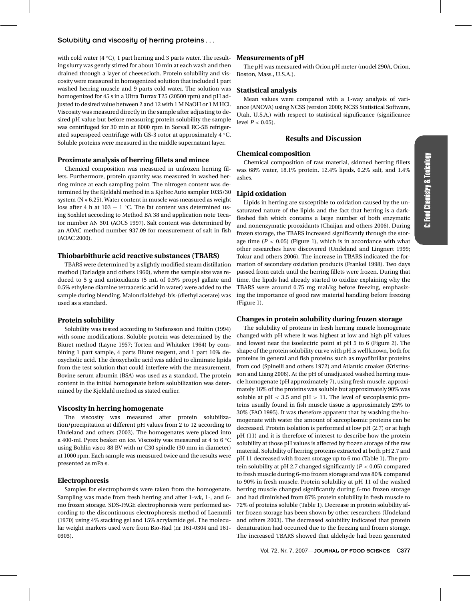# Solubility and viscosity of herring proteins . . .

with cold water (4  $\degree$ C), 1 part herring and 3 parts water. The resulting slurry was gently stirred for about 10 min at each wash and then drained through a layer of cheesecloth. Protein solubility and viscosity were measured in homogenized solution that included 1 part washed herring muscle and 9 parts cold water. The solution was homogenized for 45 s in a Ultra Turrax T25 (20500 rpm) and pH adjusted to desired value between 2 and 12 with 1 M NaOH or 1 M HCl. Viscosity was measured directly in the sample after adjusting to desired pH value but before measuring protein solubility the sample was centrifuged for 30 min at 8000 rpm in Sorvall RC-5B refrigerated superspeed centrifuge with GS-3 rotor at approximately 4 ◦C. Soluble proteins were measured in the middle supernatant layer.

# **Proximate analysis of herring fillets and mince**

Chemical composition was measured in unfrozen herring fillets. Furthermore, protein quantity was measured in washed herring mince at each sampling point. The nitrogen content was determined by the Kjeldahl method in a Kjeltec Auto sampler 1035/30 system (N ∗ 6.25). Water content in muscle was measured as weight loss after 4 h at 103  $\pm$  1 °C. The fat content was determined using Soxhlet according to Method BA 38 and application note Tecator number AN 301 (AOCS 1997). Salt content was determined by an AOAC method number 937.09 for measurement of salt in fish (AOAC 2000).

# **Thiobarbithuric acid reactive substances (TBARS)**

TBARS were determined by a slightly modified steam distillation method (Tarladgis and others 1960), where the sample size was reduced to 5 g and antioxidants (5 mL of 0.5% propyl gallate and 0.5% ethylene diamine tetraacetic acid in water) were added to the sample during blending. Malondialdehyd-bis-(diethyl acetate) was used as a standard.

#### **Protein solubility**

Solubility was tested according to Stefansson and Hultin (1994) with some modifications. Soluble protein was determined by the Biuret method (Layne 1957; Torten and Whitaker 1964) by combining 1 part sample, 4 parts Biuret reagent, and 1 part 10% deoxycholic acid. The deoxycholic acid was added to eliminate lipids from the test solution that could interfere with the measurement. Bovine serum albumin (BSA) was used as a standard. The protein content in the initial homogenate before solubilization was determined by the Kjeldahl method as stated earlier.

#### **Viscosity in herring homogenate**

The viscosity was measured after protein solubilization/precipitation at different pH values from 2 to 12 according to Undeland and others (2003). The homogenates were placed into a 400-mL Pyrex beaker on ice. Viscosity was measured at 4 to 6 ◦C using Bohlin visco 88 BV with nr C30 spindle (30 mm in diameter) at 1000 rpm. Each sample was measured twice and the results were presented as mPa·s.

# **Electrophoresis**

Samples for electrophoresis were taken from the homogenate. Sampling was made from fresh herring and after 1-wk, 1-, and 6 mo frozen storage. SDS-PAGE electrophoresis were performed according to the discontinuous electrophoresis method of Laemmli (1970) using 4% stacking gel and 15% acrylamide gel. The molecular weight markers used were from Bio-Rad (nr 161-0304 and 161- 0303).

# **Measurements of pH**

The pH was measured with Orion pH meter (model 290A, Orion, Boston, Mass., U.S.A.).

# **Statistical analysis**

Mean values were compared with a 1-way analysis of variance (ANOVA) using NCSS (version 2000; NCSS Statistical Software, Utah, U.S.A.) with respect to statistical significance (significance level  $P < 0.05$ ).

# **Results and Discussion**

#### **Chemical composition**

Chemical composition of raw material, skinned herring fillets was 68% water, 18.1% protein, 12.4% lipids, 0.2% salt, and 1.4% ashes.

# **Lipid oxidation**

Lipids in herring are susceptible to oxidation caused by the unsaturated nature of the lipids and the fact that herring is a darkfleshed fish which contains a large number of both enzymatic and nonenzymatic prooxidants (Chaijan and others 2006). During frozen storage, the TBARS increased significantly through the storage time  $(P < 0.05)$  (Figure 1), which is in accordance with what other researches have discovered (Undeland and Lingnert 1999; Tokur and others 2006). The increase in TBARS indicated the formation of secondary oxidation products (Frankel 1998). Two days passed from catch until the herring fillets were frozen. During that time, the lipids had already started to oxidize explaining why the TBARS were around 0.75 mg mal/kg before freezing, emphasizing the importance of good raw material handling before freezing (Figure 1).

#### **Changes in protein solubility during frozen storage**

The solubility of proteins in fresh herring muscle homogenate changed with pH where it was highest at low and high pH values and lowest near the isoelectric point at pH 5 to 6 (Figure 2). The shape of the protein solubility curve with pH is well known, both for proteins in general and fish proteins such as myofibrillar proteins from cod (Spinelli and others 1972) and Atlantic croaker (Kristinsson and Liang 2006). At the pH of unadjusted washed herring muscle homogenate (pH approximately 7), using fresh muscle, approximately 16% of the proteins was soluble but approximately 90% was soluble at  $pH < 3.5$  and  $pH > 11$ . The level of sarcoplasmic proteins usually found in fish muscle tissue is approximately 25% to 30% (FAO 1995). It was therefore apparent that by washing the homogenate with water the amount of sarcoplasmic proteins can be decreased. Protein isolation is performed at low pH (2.7) or at high pH (11) and it is therefore of interest to describe how the protein solubility at those pH values is affected by frozen storage of the raw material. Solubility of herring proteins extracted at both pH 2.7 and pH 11 decreased with frozen storage up to 6 mo (Table 1). The protein solubility at pH 2.7 changed significantly  $(P < 0.05)$  compared to fresh muscle during 6-mo frozen storage and was 80% compared to 90% in fresh muscle. Protein solubility at pH 11 of the washed herring muscle changed significantly during 6-mo frozen storage and had diminished from 87% protein solubility in fresh muscle to 72% of proteins soluble (Table 1). Decrease in protein solubility after frozen storage has been shown by other researchers (Undeland and others 2003). The decreased solubility indicated that protein denaturation had occurred due to the freezing and frozen storage. The increased TBARS showed that aldehyde had been generated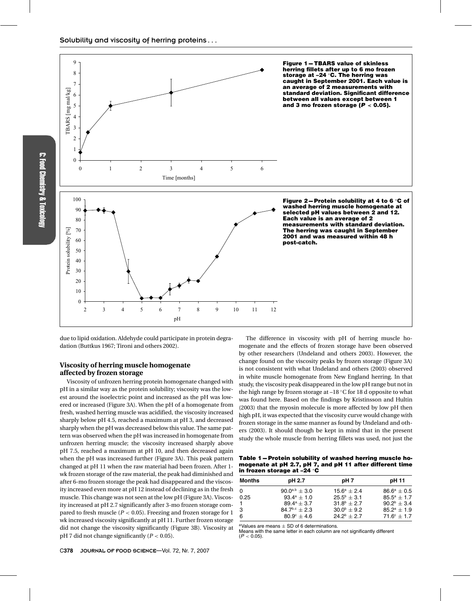

due to lipid oxidation. Aldehyde could participate in protein degradation (Buttkus 1967; Tironi and others 2002).

# **Viscosity of herring muscle homogenate affected by frozen storage**

Viscosity of unfrozen herring protein homogenate changed with pH in a similar way as the protein solubility; viscosity was the lowest around the isoelectric point and increased as the pH was lowered or increased (Figure 3A). When the pH of a homogenate from fresh, washed herring muscle was acidified, the viscosity increased sharply below pH 4.5, reached a maximum at pH 3, and decreased sharply when the pH was decreased below this value. The same pattern was observed when the pH was increased in homogenate from unfrozen herring muscle; the viscosity increased sharply above pH 7.5, reached a maximum at pH 10, and then decreased again when the pH was increased further (Figure 3A). This peak pattern changed at pH 11 when the raw material had been frozen. After 1 wk frozen storage of the raw material, the peak had diminished and after 6-mo frozen storage the peak had disappeared and the viscosity increased even more at pH 12 instead of declining as in the fresh muscle. This change was not seen at the low pH (Figure 3A). Viscosity increased at pH 2.7 significantly after 3-mo frozen storage compared to fresh muscle (*P* < 0.05). Freezing and frozen storage for 1 wk increased viscosity significantly at pH 11. Further frozen storage did not change the viscosity significantly (Figure 3B). Viscosity at pH 7 did not change significantly (*P* < 0.05).

The difference in viscosity with pH of herring muscle homogenate and the effects of frozen storage have been observed by other researchers (Undeland and others 2003). However, the change found on the viscosity peaks by frozen storage (Figure 3A) is not consistent with what Undeland and others (2003) observed in white muscle homogenate from New England herring. In that study, the viscosity peak disappeared in the low pH range but not in the high range by frozen storage at  $-18$  °C for 18 d opposite to what was found here. Based on the findings by Kristinsson and Hultin (2003) that the myosin molecule is more affected by low pH then high pH, it was expected that the viscosity curve would change with frozen storage in the same manner as found by Undeland and others (2003). It should though be kept in mind that in the present study the whole muscle from herring fillets was used, not just the

Table 1 - Protein solubility of washed herring muscle ho**mogenate at pH 2.7, pH 7, and pH 11 after different time in frozen storage at –24 ◦C**

| Months | pH 2.7                 | pH <sub>7</sub>      | pH 11                  |
|--------|------------------------|----------------------|------------------------|
| 0      | $90.0^{a,b} \pm 3.0$   | $15.6^a \pm 2.4$     | $86.6^{\circ} \pm 0.5$ |
| 0.25   | $93.4^{\circ} \pm 1.0$ | $25.5^{\circ}$ + 3.1 | $85.5^a \pm 1.7$       |
| 1.     | $89.4^{\rm a} + 3.7$   | $31.8^b \pm 2.7$     | $90.2^b + 3.4$         |
| 3      | $84.7^{b,c}$ + 2.3     | $30.0^{\circ}$ + 9.2 | $85.2^a \pm 1.9$       |
| 6      | $80.9^{\circ}$ + 4.6   | $24.2^b + 2.7$       | $71.6^{\circ}$ + 1.7   |

<sup>a</sup>Values are means  $\pm$  SD of 6 determinations.

Means with the same letter in each column are not significantly different  $(P < 0.05)$ .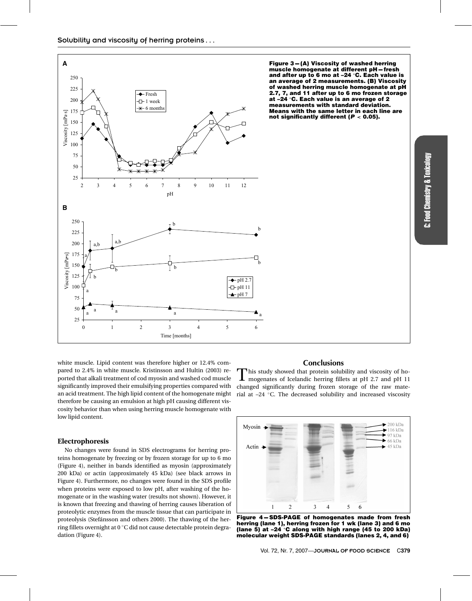

**Figure 3-(A) Viscosity of washed herring** muscle homogenate at different pH-fresh **and after up to 6 mo at –24 ◦ C. Each value is an average of 2 measurements. (B) Viscosity of washed herring muscle homogenate at pH 2.7, 7, and 11 after up to 6 mo frozen storage at –24 ◦ C. Each value is an average of 2 measurements with standard deviation. Means with the same letter in each line are not significantly different (***P <* **0.05).**

white muscle. Lipid content was therefore higher or 12.4% compared to 2.4% in white muscle. Kristinsson and Hultin (2003) reported that alkali treatment of cod myosin and washed cod muscle significantly improved their emulsifying properties compared with an acid treatment. The high lipid content of the homogenate might therefore be causing an emulsion at high pH causing different viscosity behavior than when using herring muscle homogenate with low lipid content.

#### **Electrophoresis**

No changes were found in SDS electrograms for herring proteins homogenate by freezing or by frozen storage for up to 6 mo (Figure 4), neither in bands identified as myosin (approximately 200 kDa) or actin (approximately 45 kDa) (see black arrows in Figure 4). Furthermore, no changes were found in the SDS profile when proteins were exposed to low pH, after washing of the homogenate or in the washing water (results not shown). However, it is known that freezing and thawing of herring causes liberation of proteolytic enzymes from the muscle tissue that can participate in proteolysis (Stefánsson and others 2000). The thawing of the herring fillets overnight at 0 ◦C did not cause detectable protein degradation (Figure 4).

**Conclusions**<br>This study showed that protein solubility and viscosity of ho-This study showed that protein solubility and viscosity of ho-mogenates of Icelandic herring fillets at pH 2.7 and pH 11 changed significantly during frozen storage of the raw material at –24 ◦C. The decreased solubility and increased viscosity



Figure 4-SDS-PAGE of homogenates made from fresh **herring (lane 1), herring frozen for 1 wk (lane 3) and 6 mo (lane 5) at –24 ◦C along with high range (45 to 200 kDa) molecular weight SDS-PAGE standards (lanes 2, 4, and 6)**